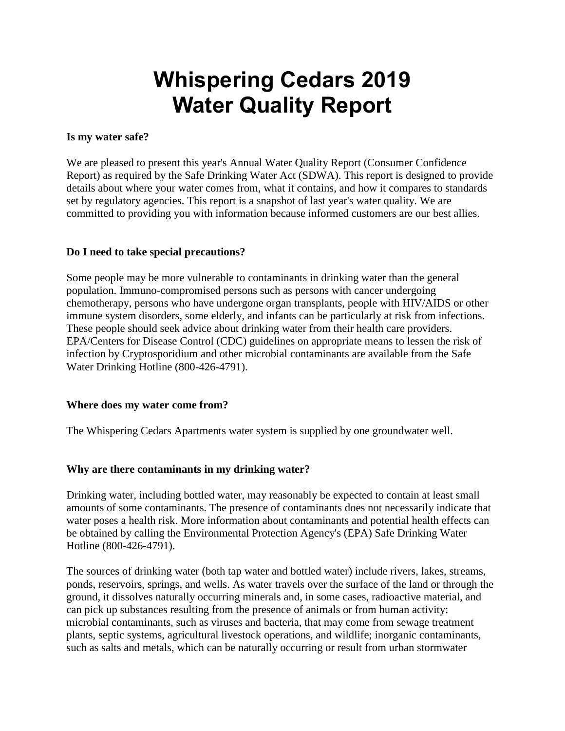# **Whispering Cedars 2019 Water Quality Report**

#### **Is my water safe?**

We are pleased to present this year's Annual Water Quality Report (Consumer Confidence Report) as required by the Safe Drinking Water Act (SDWA). This report is designed to provide details about where your water comes from, what it contains, and how it compares to standards set by regulatory agencies. This report is a snapshot of last year's water quality. We are committed to providing you with information because informed customers are our best allies.

#### **Do I need to take special precautions?**

Some people may be more vulnerable to contaminants in drinking water than the general population. Immuno-compromised persons such as persons with cancer undergoing chemotherapy, persons who have undergone organ transplants, people with HIV/AIDS or other immune system disorders, some elderly, and infants can be particularly at risk from infections. These people should seek advice about drinking water from their health care providers. EPA/Centers for Disease Control (CDC) guidelines on appropriate means to lessen the risk of infection by Cryptosporidium and other microbial contaminants are available from the Safe Water Drinking Hotline (800-426-4791).

#### **Where does my water come from?**

The Whispering Cedars Apartments water system is supplied by one groundwater well.

### **Why are there contaminants in my drinking water?**

Drinking water, including bottled water, may reasonably be expected to contain at least small amounts of some contaminants. The presence of contaminants does not necessarily indicate that water poses a health risk. More information about contaminants and potential health effects can be obtained by calling the Environmental Protection Agency's (EPA) Safe Drinking Water Hotline (800-426-4791).

The sources of drinking water (both tap water and bottled water) include rivers, lakes, streams, ponds, reservoirs, springs, and wells. As water travels over the surface of the land or through the ground, it dissolves naturally occurring minerals and, in some cases, radioactive material, and can pick up substances resulting from the presence of animals or from human activity: microbial contaminants, such as viruses and bacteria, that may come from sewage treatment plants, septic systems, agricultural livestock operations, and wildlife; inorganic contaminants, such as salts and metals, which can be naturally occurring or result from urban stormwater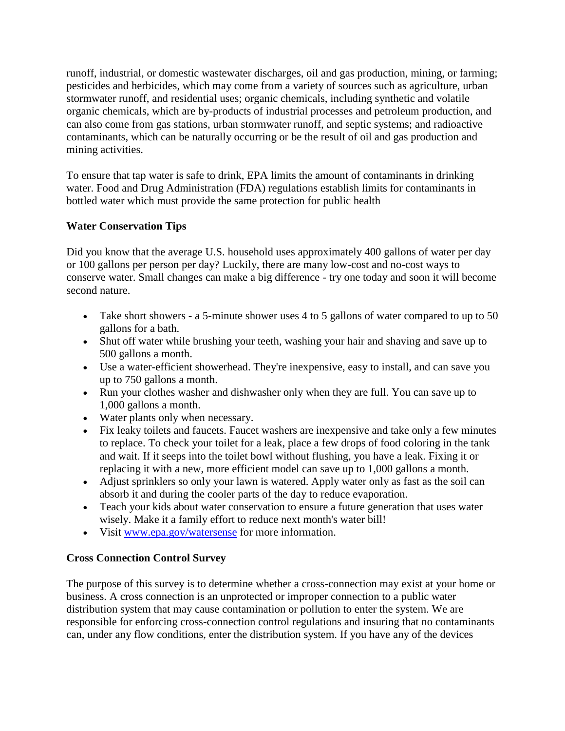runoff, industrial, or domestic wastewater discharges, oil and gas production, mining, or farming; pesticides and herbicides, which may come from a variety of sources such as agriculture, urban stormwater runoff, and residential uses; organic chemicals, including synthetic and volatile organic chemicals, which are by-products of industrial processes and petroleum production, and can also come from gas stations, urban stormwater runoff, and septic systems; and radioactive contaminants, which can be naturally occurring or be the result of oil and gas production and mining activities.

To ensure that tap water is safe to drink, EPA limits the amount of contaminants in drinking water. Food and Drug Administration (FDA) regulations establish limits for contaminants in bottled water which must provide the same protection for public health

# **Water Conservation Tips**

Did you know that the average U.S. household uses approximately 400 gallons of water per day or 100 gallons per person per day? Luckily, there are many low-cost and no-cost ways to conserve water. Small changes can make a big difference - try one today and soon it will become second nature.

- Take short showers a 5-minute shower uses 4 to 5 gallons of water compared to up to 50 gallons for a bath.
- Shut off water while brushing your teeth, washing your hair and shaving and save up to 500 gallons a month.
- Use a water-efficient showerhead. They're inexpensive, easy to install, and can save you up to 750 gallons a month.
- Run your clothes washer and dishwasher only when they are full. You can save up to 1,000 gallons a month.
- Water plants only when necessary.
- Fix leaky toilets and faucets. Faucet washers are inexpensive and take only a few minutes to replace. To check your toilet for a leak, place a few drops of food coloring in the tank and wait. If it seeps into the toilet bowl without flushing, you have a leak. Fixing it or replacing it with a new, more efficient model can save up to 1,000 gallons a month.
- Adjust sprinklers so only your lawn is watered. Apply water only as fast as the soil can absorb it and during the cooler parts of the day to reduce evaporation.
- Teach your kids about water conservation to ensure a future generation that uses water wisely. Make it a family effort to reduce next month's water bill!
- Visit [www.epa.gov/watersense](http://www.epa.gov/watersense) for more information.

# **Cross Connection Control Survey**

The purpose of this survey is to determine whether a cross-connection may exist at your home or business. A cross connection is an unprotected or improper connection to a public water distribution system that may cause contamination or pollution to enter the system. We are responsible for enforcing cross-connection control regulations and insuring that no contaminants can, under any flow conditions, enter the distribution system. If you have any of the devices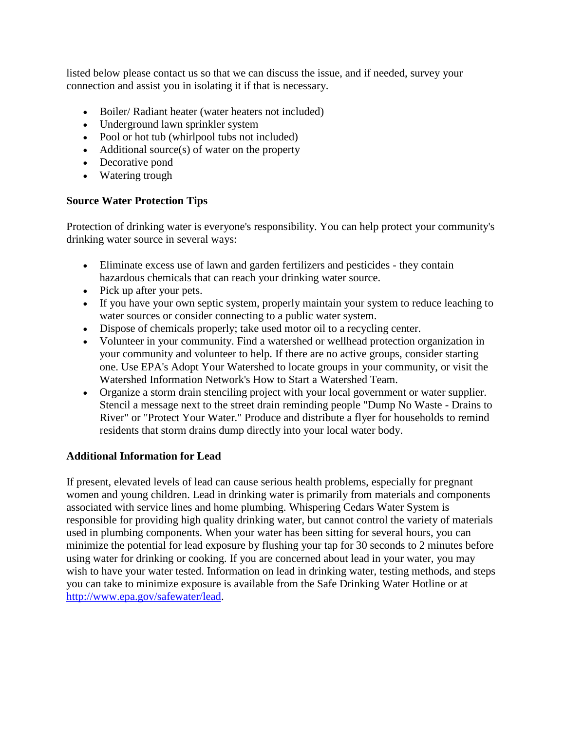listed below please contact us so that we can discuss the issue, and if needed, survey your connection and assist you in isolating it if that is necessary.

- Boiler/ Radiant heater (water heaters not included)
- Underground lawn sprinkler system
- Pool or hot tub (whirlpool tubs not included)
- Additional source(s) of water on the property
- Decorative pond
- Watering trough

#### **Source Water Protection Tips**

Protection of drinking water is everyone's responsibility. You can help protect your community's drinking water source in several ways:

- Eliminate excess use of lawn and garden fertilizers and pesticides they contain hazardous chemicals that can reach your drinking water source.
- Pick up after your pets.
- If you have your own septic system, properly maintain your system to reduce leaching to water sources or consider connecting to a public water system.
- Dispose of chemicals properly; take used motor oil to a recycling center.
- Volunteer in your community. Find a watershed or wellhead protection organization in your community and volunteer to help. If there are no active groups, consider starting one. Use EPA's Adopt Your Watershed to locate groups in your community, or visit the Watershed Information Network's How to Start a Watershed Team.
- Organize a storm drain stenciling project with your local government or water supplier. Stencil a message next to the street drain reminding people "Dump No Waste - Drains to River" or "Protect Your Water." Produce and distribute a flyer for households to remind residents that storm drains dump directly into your local water body.

#### **Additional Information for Lead**

If present, elevated levels of lead can cause serious health problems, especially for pregnant women and young children. Lead in drinking water is primarily from materials and components associated with service lines and home plumbing. Whispering Cedars Water System is responsible for providing high quality drinking water, but cannot control the variety of materials used in plumbing components. When your water has been sitting for several hours, you can minimize the potential for lead exposure by flushing your tap for 30 seconds to 2 minutes before using water for drinking or cooking. If you are concerned about lead in your water, you may wish to have your water tested. Information on lead in drinking water, testing methods, and steps you can take to minimize exposure is available from the Safe Drinking Water Hotline or at [http://www.epa.gov/safewater/lead.](http://www.epa.gov/safewater/lead)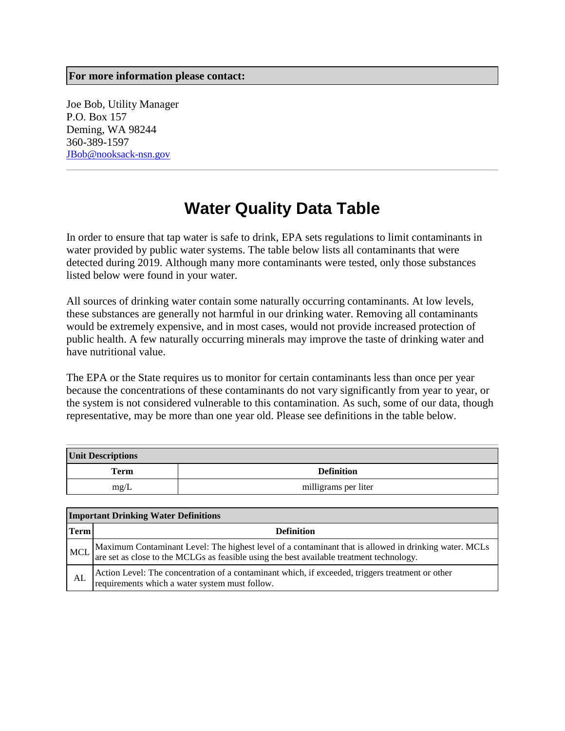#### **For more information please contact:**

Joe Bob, Utility Manager P.O. Box 157 Deming, WA 98244 360-389-1597 [JBob@nooksack-nsn.gov](mailto:JBob@nooksack-nsn.gov)

# **Water Quality Data Table**

In order to ensure that tap water is safe to drink, EPA sets regulations to limit contaminants in water provided by public water systems. The table below lists all contaminants that were detected during 2019. Although many more contaminants were tested, only those substances listed below were found in your water.

All sources of drinking water contain some naturally occurring contaminants. At low levels, these substances are generally not harmful in our drinking water. Removing all contaminants would be extremely expensive, and in most cases, would not provide increased protection of public health. A few naturally occurring minerals may improve the taste of drinking water and have nutritional value.

The EPA or the State requires us to monitor for certain contaminants less than once per year because the concentrations of these contaminants do not vary significantly from year to year, or the system is not considered vulnerable to this contamination. As such, some of our data, though representative, may be more than one year old. Please see definitions in the table below.

| <b>Unit Descriptions</b> |                      |  |  |  |
|--------------------------|----------------------|--|--|--|
| <b>Term</b>              | <b>Definition</b>    |  |  |  |
| mg/L                     | milligrams per liter |  |  |  |

|            | <b>Important Drinking Water Definitions</b>                                                                                                                                                       |  |  |  |  |
|------------|---------------------------------------------------------------------------------------------------------------------------------------------------------------------------------------------------|--|--|--|--|
| Term       | <b>Definition</b>                                                                                                                                                                                 |  |  |  |  |
| <b>MCL</b> | Maximum Contaminant Level: The highest level of a contaminant that is allowed in drinking water. MCLs<br>are set as close to the MCLGs as feasible using the best available treatment technology. |  |  |  |  |
| AL         | Action Level: The concentration of a contaminant which, if exceeded, triggers treatment or other<br>requirements which a water system must follow.                                                |  |  |  |  |